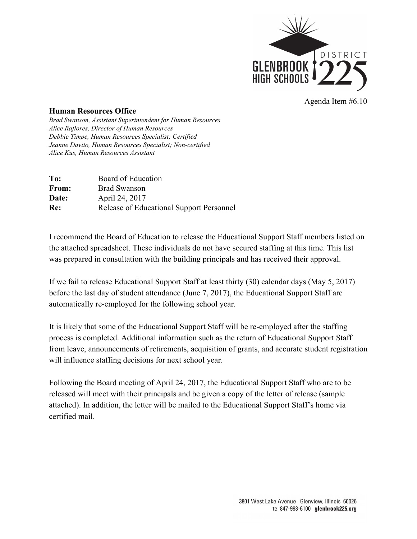

Agenda Item #6.10

## **Human Resources Office**

*Brad Swanson, Assistant Superintendent for Human Resources Alice Raflores, Director of Human Resources Debbie Timpe, Human Resources Specialist; Certified Jeanne Davito, Human Resources Specialist; Non-certified Alice Kus, Human Resources Assistant*

| Board of Education                       |
|------------------------------------------|
| <b>Brad Swanson</b>                      |
| April 24, 2017                           |
| Release of Educational Support Personnel |
|                                          |

I recommend the Board of Education to release the Educational Support Staff members listed on the attached spreadsheet. These individuals do not have secured staffing at this time. This list was prepared in consultation with the building principals and has received their approval.

If we fail to release Educational Support Staff at least thirty (30) calendar days (May 5, 2017) before the last day of student attendance (June 7, 2017), the Educational Support Staff are automatically re-employed for the following school year.

It is likely that some of the Educational Support Staff will be re-employed after the staffing process is completed. Additional information such as the return of Educational Support Staff from leave, announcements of retirements, acquisition of grants, and accurate student registration will influence staffing decisions for next school year.

Following the Board meeting of April 24, 2017, the Educational Support Staff who are to be released will meet with their principals and be given a copy of the letter of release (sample attached). In addition, the letter will be mailed to the Educational Support Staff's home via certified mail.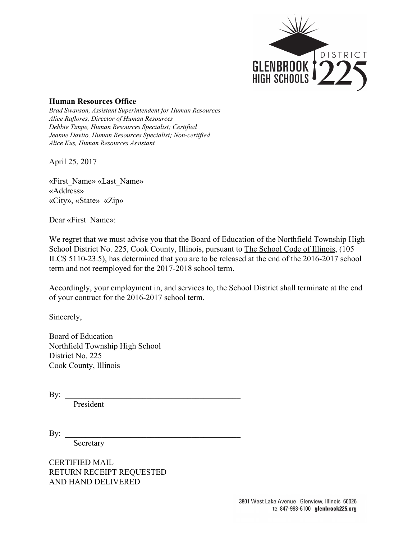

## **Human Resources Office**

*Brad Swanson, Assistant Superintendent for Human Resources Alice Raflores, Director of Human Resources Debbie Timpe, Human Resources Specialist; Certified Jeanne Davito, Human Resources Specialist; Non-certified Alice Kus, Human Resources Assistant*

April 25, 2017

«First\_Name» «Last\_Name» «Address» «City», «State» «Zip»

Dear «First\_Name»:

We regret that we must advise you that the Board of Education of the Northfield Township High School District No. 225, Cook County, Illinois, pursuant to The School Code of Illinois, (105 ILCS 5110-23.5), has determined that you are to be released at the end of the 2016-2017 school term and not reemployed for the 2017-2018 school term.

Accordingly, your employment in, and services to, the School District shall terminate at the end of your contract for the 2016-2017 school term.

Sincerely,

Board of Education Northfield Township High School District No. 225 Cook County, Illinois

 $\mathbf{By:}$ 

President

 $\mathbf{By:}$ 

Secretary

CERTIFIED MAIL RETURN RECEIPT REQUESTED AND HAND DELIVERED